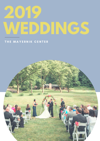# **2019 WEDDINGS**

### THE MAYERNIK CENTER

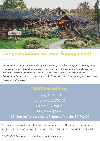

# **Congratulations on your Engagement!**

The Mayernik Center is a unique wedding venue featuring cathedral ceilings and a working stone fireplace in the main dining hall. Adjacent to our main hall is the bar area, where all appetizers and food is served along with one of the most exceptional features - the formal oak bar. The Mayernik Center has a maximum capacity of 200 seated guests. The following is our rental fee schedule for 2019 season:

# **2019 Rental Fees**

Friday: \$3,100.00 Saturdays: \$3,700.00 Sunday: \$2,800.00 Holiday Rate: \$4,600.00 Off Season Rate (January, February, March): \$2,700.00

The rental fee covers a five-hour long event, between the hours of 12 p.m. and 11 p.m. on Friday and Saturday and 10 p.m. on Sunday. The renter chooses the five-hour time frame for the event.

PLEASE NOTE: Prices are subject to change due to rental year.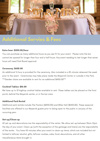

# **Additional Servies & Fees**

#### Extra hour: \$500.00/hour

You can purchase as many additional hours as you see fit for your event. Please note the bar cannot be opened for longer than four and a half hours. Any event needing to last longer than seven hours will need Park Board approval.

#### Ceremony: \$450.00

An additional ½ hour is provided for the ceremony. Also included is a 45-minute rehearsal the week prior to the event. Ceremonies may take place inside the Mayernik Center or outside in the Park. \*\*Garden chairs are available to rent for an additional \$450.00\*\*

#### Cocktail Tables: \$10.00

We have up to 10 hightop cocktail tables available to rent. These tables can be placed on the front porch, behind the Mayernik center, or in the bar area.

#### Additional Park Rental

Additional park rentals include The Pavilion (\$450.00) and Miller Hall (\$450.00). These seasonal facilities are offered to our Mayernik guests prior to being open to the public in January of the occurring year.

#### Set-up/Clean-up

All set-up and decorations are the responsibility of the renter. We allow set-up between 10am-12pm the day of your event. Clean-up (with the exception of the garbage and linens) are the responsibility of the renter. You have 45 minutes after your event to clean-up items, which are included but not limited to leftover alcohol, gifts, leftover cookies, cake, food, decorations, and all other miscellaneous items brought in.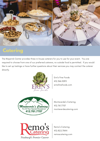

## **Catering**

The Mayernik Center provides three in-house caterers for you to use for your event. You are required to choose from one of our preferred caterers, no outside food is permitted. If you would like to set up tastings or have further questions about their services you may contact the caterer directly.



Erin's Fine Foods 412.366.5095 erinsfinefoods.com



Monteverde's Catering 412.761.7707 monteverdecatering.com



Remo's Catering 412.822.7844 remoscatering.com